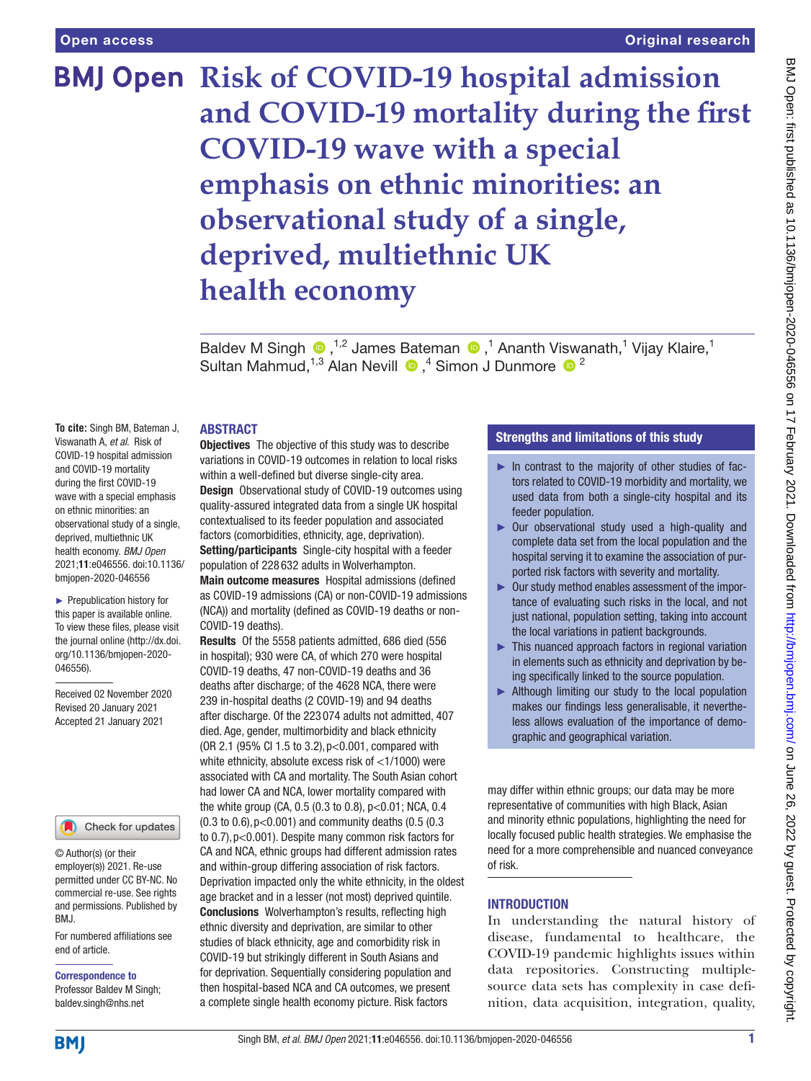# **BMJ Open Risk of COVID-19 hospital admission and COVID-19 mortality during the first COVID-19 wave with a special emphasis on ethnic minorities: an observational study of a single, deprived, multiethnic UK health economy**

BaldevM Singh <sup>®</sup>,<sup>1,2</sup> James Bateman <sup>®</sup>,<sup>1</sup> Ananth Viswanath,<sup>1</sup> Vijay Klaire,<sup>1</sup> SultanMahmud,  $1,3$  Alan Nevill  $\bigcirc$ ,  $4$  Simon J Dunmore  $\bigcirc$  2

## ABSTRACT

**To cite:** Singh BM, Bateman J, Viswanath A, *et al*. Risk of COVID-19 hospital admission and COVID-19 mortality during the first COVID-19 wave with a special emphasis on ethnic minorities: an observational study of a single, deprived, multiethnic UK health economy. *BMJ Open* 2021;11:e046556. doi:10.1136/ bmjopen-2020-046556

► Prepublication history for this paper is available online. To view these files, please visit the journal online (http://dx.doi. org/10.1136/bmjopen-2020- 046556).

Received 02 November 2020 Revised 20 January 2021 Accepted 21 January 2021

## Check for updates

© Author(s) (or their employer(s)) 2021. Re-use permitted under CC BY-NC. No commercial re-use. See rights and permissions. Published by BMJ.

For numbered affiliations see end of article.

# Correspondence to

Professor Baldev M Singh; baldev.singh@nhs.net

**Objectives** The objective of this study was to describe variations in COVID-19 outcomes in relation to local risks within a well-defined but diverse single-city area. **Design** Observational study of COVID-19 outcomes using quality-assured integrated data from a single UK hospital contextualised to its feeder population and associated factors (comorbidities, ethnicity, age, deprivation). Setting/participants Single-city hospital with a feeder population of 228 632 adults in Wolverhampton.

Main outcome measures Hospital admissions (defined as COVID-19 admissions (CA) or non-COVID-19 admissions (NCA)) and mortality (defined as COVID-19 deaths or non-COVID-19 deaths).

Results Of the 5558 patients admitted, 686 died (556 in hospital); 930 were CA, of which 270 were hospital COVID-19 deaths, 47 non-COVID-19 deaths and 36 deaths after discharge; of the 4628 NCA, there were 239 in-hospital deaths (2 COVID-19) and 94 deaths after discharge. Of the 223 074 adults not admitted, 407 died. Age, gender, multimorbidity and black ethnicity (OR 2.1 (95% CI 1.5 to 3.2),p<0.001, compared with white ethnicity, absolute excess risk of <1/1000) were associated with CA and mortality. The South Asian cohort had lower CA and NCA, lower mortality compared with the white group (CA, 0.5 (0.3 to 0.8), p<0.01; NCA, 0.4 (0.3 to 0.6),p<0.001) and community deaths (0.5 (0.3 to 0.7),p<0.001). Despite many common risk factors for CA and NCA, ethnic groups had different admission rates and within-group differing association of risk factors. Deprivation impacted only the white ethnicity, in the oldest age bracket and in a lesser (not most) deprived quintile. Conclusions Wolverhampton's results, reflecting high ethnic diversity and deprivation, are similar to other studies of black ethnicity, age and comorbidity risk in COVID-19 but strikingly different in South Asians and for deprivation. Sequentially considering population and then hospital-based NCA and CA outcomes, we present a complete single health economy picture. Risk factors

# Strengths and limitations of this study

- ► In contrast to the majority of other studies of factors related to COVID-19 morbidity and mortality, we used data from both a single-city hospital and its feeder population.
- ► Our observational study used a high-quality and complete data set from the local population and the hospital serving it to examine the association of purported risk factors with severity and mortality.
- ► Our study method enables assessment of the importance of evaluating such risks in the local, and not just national, population setting, taking into account the local variations in patient backgrounds.
- ► This nuanced approach factors in regional variation in elements such as ethnicity and deprivation by being specifically linked to the source population.
- ► Although limiting our study to the local population makes our findings less generalisable, it nevertheless allows evaluation of the importance of demographic and geographical variation.

may differ within ethnic groups; our data may be more representative of communities with high Black, Asian and minority ethnic populations, highlighting the need for locally focused public health strategies. We emphasise the need for a more comprehensible and nuanced conveyance of risk.

# **INTRODUCTION**

In understanding the natural history of disease, fundamental to healthcare, the COVID-19 pandemic highlights issues within data repositories. Constructing multiplesource data sets has complexity in case definition, data acquisition, integration, quality,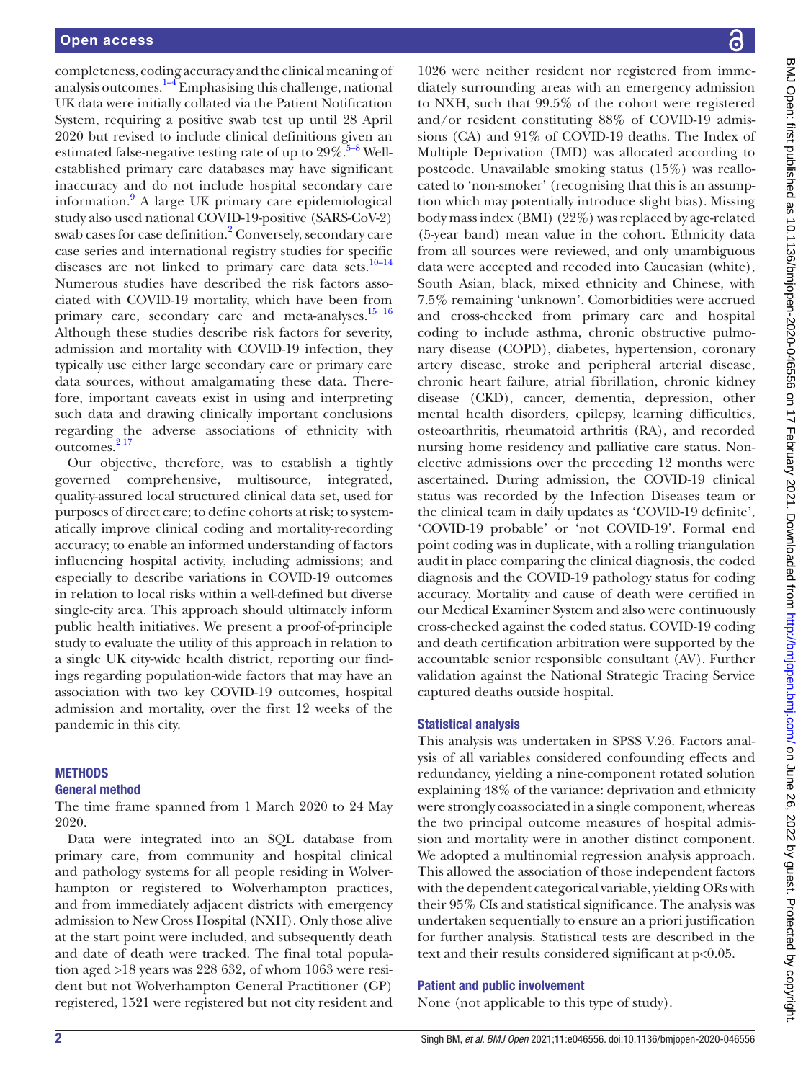completeness, coding accuracy and the clinical meaning of analysis outcomes. $1-4$  Emphasising this challenge, national UK data were initially collated via the Patient Notification System, requiring a positive swab test up until 28 April 2020 but revised to include clinical definitions given an estimated false-negative testing rate of up to  $29\%$ .<sup>5–8</sup> Wellestablished primary care databases may have significant inaccuracy and do not include hospital secondary care information.<sup>[9](#page-10-2)</sup> A large UK primary care epidemiological study also used national COVID-19-positive (SARS-CoV-2) swab cases for case definition.<sup>[2](#page-10-3)</sup> Conversely, secondary care case series and international registry studies for specific diseases are not linked to primary care data sets. $10-14$ Numerous studies have described the risk factors associated with COVID-19 mortality, which have been from primary care, secondary care and meta-analyses.<sup>15</sup> <sup>16</sup> Although these studies describe risk factors for severity, admission and mortality with COVID-19 infection, they typically use either large secondary care or primary care data sources, without amalgamating these data. Therefore, important caveats exist in using and interpreting such data and drawing clinically important conclusions regarding the adverse associations of ethnicity with outcomes.<sup>217</sup>

Our objective, therefore, was to establish a tightly governed comprehensive, multisource, integrated, quality-assured local structured clinical data set, used for purposes of direct care; to define cohorts at risk; to systematically improve clinical coding and mortality-recording accuracy; to enable an informed understanding of factors influencing hospital activity, including admissions; and especially to describe variations in COVID-19 outcomes in relation to local risks within a well-defined but diverse single-city area. This approach should ultimately inform public health initiatives. We present a proof-of-principle study to evaluate the utility of this approach in relation to a single UK city-wide health district, reporting our findings regarding population-wide factors that may have an association with two key COVID-19 outcomes, hospital admission and mortality, over the first 12 weeks of the pandemic in this city.

## **METHODS**

## General method

The time frame spanned from 1 March 2020 to 24 May 2020.

Data were integrated into an SQL database from primary care, from community and hospital clinical and pathology systems for all people residing in Wolverhampton or registered to Wolverhampton practices, and from immediately adjacent districts with emergency admission to New Cross Hospital (NXH). Only those alive at the start point were included, and subsequently death and date of death were tracked. The final total population aged >18 years was 228 632, of whom 1063 were resident but not Wolverhampton General Practitioner (GP) registered, 1521 were registered but not city resident and

1026 were neither resident nor registered from immediately surrounding areas with an emergency admission to NXH, such that 99.5% of the cohort were registered and/or resident constituting 88% of COVID-19 admissions (CA) and 91% of COVID-19 deaths. The Index of Multiple Deprivation (IMD) was allocated according to postcode. Unavailable smoking status (15%) was reallocated to 'non-smoker' (recognising that this is an assumption which may potentially introduce slight bias). Missing body mass index (BMI) (22%) was replaced by age-related (5-year band) mean value in the cohort. Ethnicity data from all sources were reviewed, and only unambiguous data were accepted and recoded into Caucasian (white), South Asian, black, mixed ethnicity and Chinese, with 7.5% remaining 'unknown'. Comorbidities were accrued and cross-checked from primary care and hospital coding to include asthma, chronic obstructive pulmonary disease (COPD), diabetes, hypertension, coronary artery disease, stroke and peripheral arterial disease, chronic heart failure, atrial fibrillation, chronic kidney disease (CKD), cancer, dementia, depression, other mental health disorders, epilepsy, learning difficulties, osteoarthritis, rheumatoid arthritis (RA), and recorded nursing home residency and palliative care status. Nonelective admissions over the preceding 12 months were ascertained. During admission, the COVID-19 clinical status was recorded by the Infection Diseases team or the clinical team in daily updates as 'COVID-19 definite', 'COVID-19 probable' or 'not COVID-19'. Formal end point coding was in duplicate, with a rolling triangulation audit in place comparing the clinical diagnosis, the coded diagnosis and the COVID-19 pathology status for coding accuracy. Mortality and cause of death were certified in our Medical Examiner System and also were continuously cross-checked against the coded status. COVID-19 coding and death certification arbitration were supported by the accountable senior responsible consultant (AV). Further validation against the National Strategic Tracing Service captured deaths outside hospital.

## Statistical analysis

This analysis was undertaken in SPSS V.26. Factors analysis of all variables considered confounding effects and redundancy, yielding a nine-component rotated solution explaining 48% of the variance: deprivation and ethnicity were strongly coassociated in a single component, whereas the two principal outcome measures of hospital admission and mortality were in another distinct component. We adopted a multinomial regression analysis approach. This allowed the association of those independent factors with the dependent categorical variable, yielding ORs with their 95% CIs and statistical significance. The analysis was undertaken sequentially to ensure an a priori justification for further analysis. Statistical tests are described in the text and their results considered significant at p<0.05.

#### Patient and public involvement

None (not applicable to this type of study).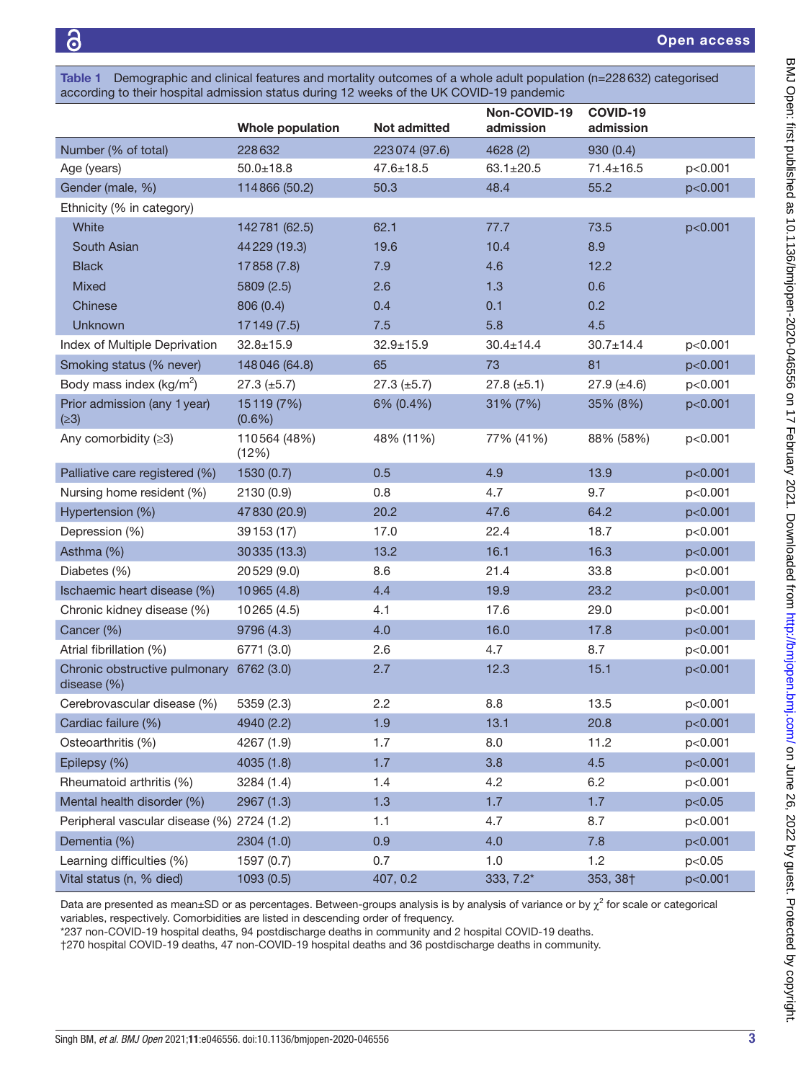<span id="page-2-0"></span>Table 1 Demographic and clinical features and mortality outcomes of a whole adult population (n=228632) categorised according to their hospital admission status during 12 weeks of the UK COVID-19 pandemic

|                                                         | <b>Whole population</b> | <b>Not admitted</b> | Non-COVID-19<br>admission | COVID-19<br>admission |         |
|---------------------------------------------------------|-------------------------|---------------------|---------------------------|-----------------------|---------|
| Number (% of total)                                     | 228632                  | 223074 (97.6)       | 4628 (2)                  | 930 (0.4)             |         |
| Age (years)                                             | $50.0 \pm 18.8$         | $47.6 \pm 18.5$     | $63.1 \pm 20.5$           | $71.4 \pm 16.5$       | p<0.001 |
| Gender (male, %)                                        | 114866 (50.2)           | 50.3                | 48.4                      | 55.2                  | p<0.001 |
| Ethnicity (% in category)                               |                         |                     |                           |                       |         |
| White                                                   | 142781 (62.5)           | 62.1                | 77.7                      | 73.5                  | p<0.001 |
| South Asian                                             | 44 229 (19.3)           | 19.6                | 10.4                      | 8.9                   |         |
| <b>Black</b>                                            | 17858 (7.8)             | 7.9                 | 4.6                       | 12.2                  |         |
| <b>Mixed</b>                                            | 5809 (2.5)              | 2.6                 | 1.3                       | 0.6                   |         |
| Chinese                                                 | 806 (0.4)               | 0.4                 | 0.1                       | 0.2                   |         |
| Unknown                                                 | 17 149 (7.5)            | 7.5                 | 5.8                       | 4.5                   |         |
| Index of Multiple Deprivation                           | $32.8 \pm 15.9$         | $32.9 \pm 15.9$     | $30.4 \pm 14.4$           | $30.7 \pm 14.4$       | p<0.001 |
| Smoking status (% never)                                | 148046 (64.8)           | 65                  | 73                        | 81                    | p<0.001 |
| Body mass index $(kg/m^2)$                              | $27.3 \ (\pm 5.7)$      | $27.3 \ (\pm 5.7)$  | $27.8 (\pm 5.1)$          | $27.9 \ (\pm 4.6)$    | p<0.001 |
| Prior admission (any 1 year)<br>(≥3)                    | 15119 (7%)<br>$(0.6\%)$ | 6% (0.4%)           | 31% (7%)                  | 35% (8%)              | p<0.001 |
| Any comorbidity $(≥3)$                                  | 110564 (48%)<br>(12%)   | 48% (11%)           | 77% (41%)                 | 88% (58%)             | p<0.001 |
| Palliative care registered (%)                          | 1530(0.7)               | 0.5                 | 4.9                       | 13.9                  | p<0.001 |
| Nursing home resident (%)                               | 2130 (0.9)              | 0.8                 | 4.7                       | 9.7                   | p<0.001 |
| Hypertension (%)                                        | 47830 (20.9)            | 20.2                | 47.6                      | 64.2                  | p<0.001 |
| Depression (%)                                          | 39 153 (17)             | 17.0                | 22.4                      | 18.7                  | p<0.001 |
| Asthma (%)                                              | 30335 (13.3)            | 13.2                | 16.1                      | 16.3                  | p<0.001 |
| Diabetes (%)                                            | 20529 (9.0)             | 8.6                 | 21.4                      | 33.8                  | p<0.001 |
| Ischaemic heart disease (%)                             | 10965 (4.8)             | 4.4                 | 19.9                      | 23.2                  | p<0.001 |
| Chronic kidney disease (%)                              | 10265 (4.5)             | 4.1                 | 17.6                      | 29.0                  | p<0.001 |
| Cancer (%)                                              | 9796 (4.3)              | 4.0                 | 16.0                      | 17.8                  | p<0.001 |
| Atrial fibrillation (%)                                 | 6771 (3.0)              | 2.6                 | 4.7                       | 8.7                   | p<0.001 |
| Chronic obstructive pulmonary 6762 (3.0)<br>disease (%) |                         | 2.7                 | 12.3                      | 15.1                  | p<0.001 |
| Cerebrovascular disease (%)                             | 5359 (2.3)              | 2.2                 | 8.8                       | 13.5                  | p<0.001 |
| Cardiac failure (%)                                     | 4940 (2.2)              | 1.9                 | 13.1                      | 20.8                  | p<0.001 |
| Osteoarthritis (%)                                      | 4267 (1.9)              | 1.7                 | 8.0                       | 11.2                  | p<0.001 |
| Epilepsy (%)                                            | 4035 (1.8)              | 1.7                 | 3.8                       | 4.5                   | p<0.001 |
| Rheumatoid arthritis (%)                                | 3284 (1.4)              | 1.4                 | 4.2                       | 6.2                   | p<0.001 |
| Mental health disorder (%)                              | 2967 (1.3)              | 1.3                 | 1.7                       | 1.7                   | p<0.05  |
| Peripheral vascular disease (%) 2724 (1.2)              |                         | 1.1                 | 4.7                       | 8.7                   | p<0.001 |
| Dementia (%)                                            | 2304 (1.0)              | 0.9                 | 4.0                       | 7.8                   | p<0.001 |
| Learning difficulties (%)                               | 1597 (0.7)              | 0.7                 | 1.0                       | 1.2                   | p<0.05  |
| Vital status (n, % died)                                | 1093(0.5)               | 407, 0.2            | 333, 7.2*                 | 353, 38†              | p<0.001 |

Data are presented as mean±SD or as percentages. Between-groups analysis is by analysis of variance or by  $\chi^2$  for scale or categorical variables, respectively. Comorbidities are listed in descending order of frequency.

\*237 non-COVID-19 hospital deaths, 94 postdischarge deaths in community and 2 hospital COVID-19 deaths.

†270 hospital COVID-19 deaths, 47 non-COVID-19 hospital deaths and 36 postdischarge deaths in community.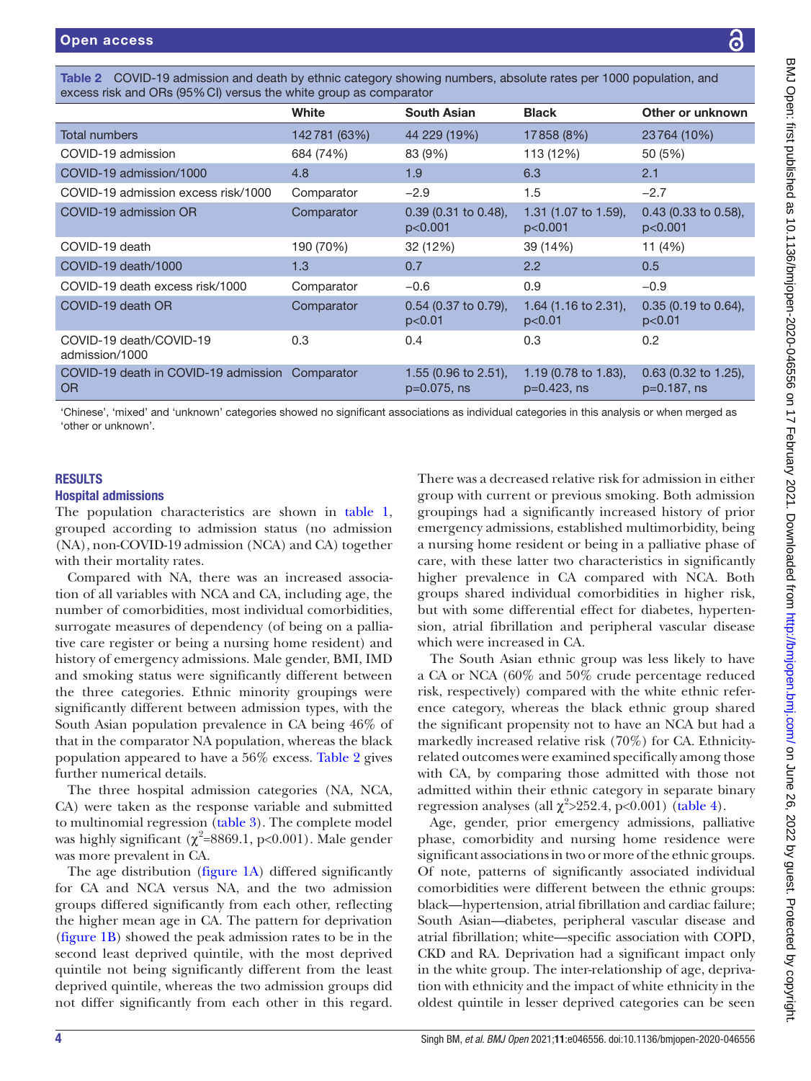<span id="page-3-0"></span>

|                                                   | White        | <b>South Asian</b>                     | <b>Black</b>                           | Other or unknown                      |
|---------------------------------------------------|--------------|----------------------------------------|----------------------------------------|---------------------------------------|
| Total numbers                                     | 142781 (63%) | 44 229 (19%)                           | 17858 (8%)                             | 23764 (10%)                           |
| COVID-19 admission                                | 684 (74%)    | 83 (9%)                                | 113 (12%)                              | 50 (5%)                               |
| COVID-19 admission/1000                           | 4.8          | 1.9                                    | 6.3                                    | 2.1                                   |
| COVID-19 admission excess risk/1000               | Comparator   | $-2.9$                                 | 1.5                                    | $-2.7$                                |
| COVID-19 admission OR                             | Comparator   | $0.39$ (0.31 to 0.48),<br>p<0.001      | 1.31 (1.07 to 1.59),<br>p<0.001        | $0.43$ (0.33 to 0.58),<br>p<0.001     |
| COVID-19 death                                    | 190 (70%)    | 32 (12%)                               | 39 (14%)                               | 11 (4%)                               |
| COVID-19 death/1000                               | 1.3          | 0.7                                    | $2.2^{\circ}$                          | 0.5                                   |
| COVID-19 death excess risk/1000                   | Comparator   | $-0.6$                                 | 0.9                                    | $-0.9$                                |
| COVID-19 death OR                                 | Comparator   | $0.54$ (0.37 to 0.79),<br>p<0.01       | 1.64 (1.16 to 2.31),<br>p<0.01         | $0.35$ (0.19 to 0.64),<br>p<0.01      |
| COVID-19 death/COVID-19<br>admission/1000         | 0.3          | 0.4                                    | 0.3                                    | 0.2                                   |
| COVID-19 death in COVID-19 admission<br><b>OR</b> | Comparator   | 1.55 (0.96 to 2.51),<br>$p=0.075$ , ns | 1.19 (0.78 to 1.83),<br>$p=0.423$ , ns | $0.63$ (0.32 to 1.25),<br>p=0.187, ns |

'Chinese', 'mixed' and 'unknown' categories showed no significant associations as individual categories in this analysis or when merged as 'other or unknown'.

# **RESULTS**

# Hospital admissions

The population characteristics are shown in [table](#page-2-0) 1, grouped according to admission status (no admission (NA), non-COVID-19 admission (NCA) and CA) together with their mortality rates.

Compared with NA, there was an increased association of all variables with NCA and CA, including age, the number of comorbidities, most individual comorbidities, surrogate measures of dependency (of being on a palliative care register or being a nursing home resident) and history of emergency admissions. Male gender, BMI, IMD and smoking status were significantly different between the three categories. Ethnic minority groupings were significantly different between admission types, with the South Asian population prevalence in CA being 46% of that in the comparator NA population, whereas the black population appeared to have a 56% excess. [Table](#page-3-0) 2 gives further numerical details.

The three hospital admission categories (NA, NCA, CA) were taken as the response variable and submitted to multinomial regression [\(table](#page-4-0) 3). The complete model was highly significant ( $\chi^2$ =8869.1, p<0.001). Male gender was more prevalent in CA.

The age distribution ([figure](#page-5-0) 1A) differed significantly for CA and NCA versus NA, and the two admission groups differed significantly from each other, reflecting the higher mean age in CA. The pattern for deprivation ([figure](#page-5-0) 1B) showed the peak admission rates to be in the second least deprived quintile, with the most deprived quintile not being significantly different from the least deprived quintile, whereas the two admission groups did not differ significantly from each other in this regard.

There was a decreased relative risk for admission in either group with current or previous smoking. Both admission groupings had a significantly increased history of prior emergency admissions, established multimorbidity, being a nursing home resident or being in a palliative phase of care, with these latter two characteristics in significantly higher prevalence in CA compared with NCA. Both groups shared individual comorbidities in higher risk, but with some differential effect for diabetes, hypertension, atrial fibrillation and peripheral vascular disease which were increased in CA.

The South Asian ethnic group was less likely to have a CA or NCA (60% and 50% crude percentage reduced risk, respectively) compared with the white ethnic reference category, whereas the black ethnic group shared the significant propensity not to have an NCA but had a markedly increased relative risk (70%) for CA. Ethnicityrelated outcomes were examined specifically among those with CA, by comparing those admitted with those not admitted within their ethnic category in separate binary regression analyses (all  $\chi^2$ >252.4, p<0.001) ([table](#page-6-0) 4).

Age, gender, prior emergency admissions, palliative phase, comorbidity and nursing home residence were significant associations in two or more of the ethnic groups. Of note, patterns of significantly associated individual comorbidities were different between the ethnic groups: black—hypertension, atrial fibrillation and cardiac failure; South Asian—diabetes, peripheral vascular disease and atrial fibrillation; white—specific association with COPD, CKD and RA. Deprivation had a significant impact only in the white group. The inter-relationship of age, deprivation with ethnicity and the impact of white ethnicity in the oldest quintile in lesser deprived categories can be seen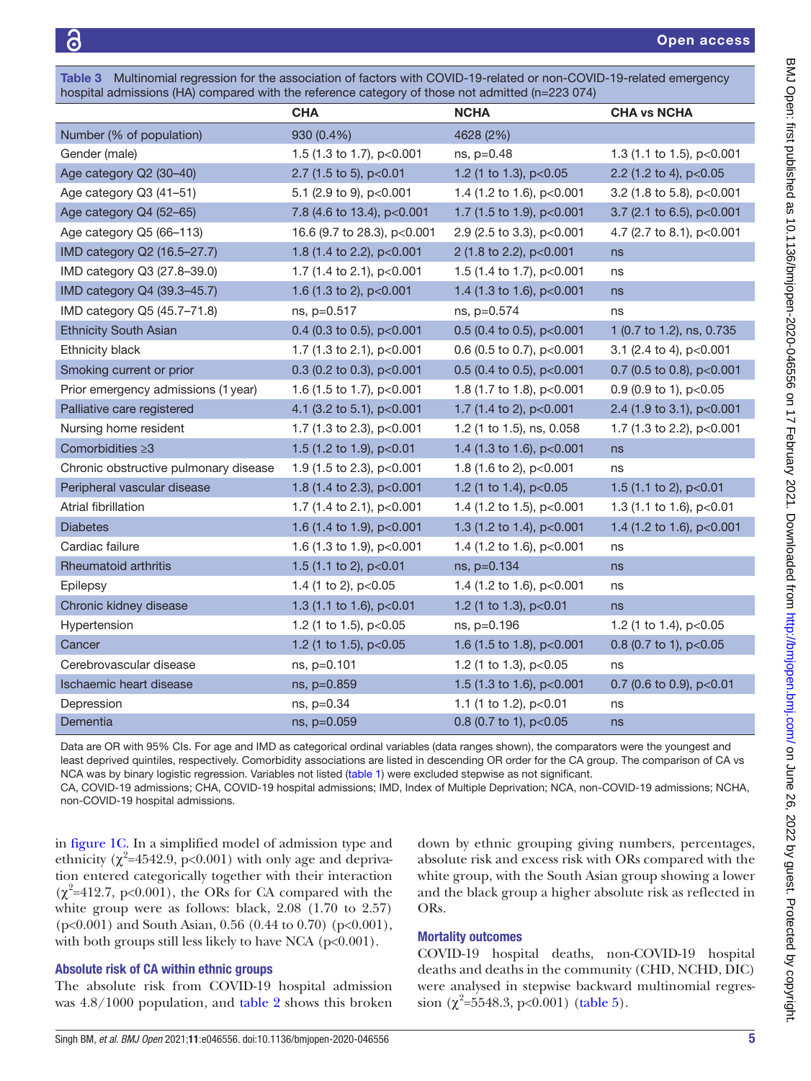<span id="page-4-0"></span>Table 3 Multinomial regression for the association of factors with COVID-19-related or non-COVID-19-related emergency hospital admissions (HA) compared with the reference category of those not admitted (n=223 074)

|                                       | <b>CHA</b>                  | <b>NCHA</b>                 | <b>CHA vs NCHA</b>         |
|---------------------------------------|-----------------------------|-----------------------------|----------------------------|
| Number (% of population)              | 930 (0.4%)                  | 4628 (2%)                   |                            |
| Gender (male)                         | 1.5 (1.3 to 1.7), p<0.001   | ns, p=0.48                  | 1.3 (1.1 to 1.5), p<0.001  |
| Age category Q2 (30-40)               | 2.7 (1.5 to 5), p<0.01      | 1.2 (1 to 1.3), p<0.05      | 2.2 (1.2 to 4), p<0.05     |
| Age category Q3 (41-51)               | 5.1 (2.9 to 9), p<0.001     | 1.4 (1.2 to 1.6), p<0.001   | 3.2 (1.8 to 5.8), p<0.001  |
| Age category Q4 (52-65)               | 7.8 (4.6 to 13.4), p<0.001  | 1.7 (1.5 to 1.9), p<0.001   | 3.7 (2.1 to 6.5), p<0.001  |
| Age category Q5 (66-113)              | 16.6 (9.7 to 28.3), p<0.001 | 2.9 (2.5 to 3.3), p<0.001   | 4.7 (2.7 to 8.1), p<0.001  |
| IMD category Q2 (16.5-27.7)           | 1.8 (1.4 to 2.2), p<0.001   | 2 (1.8 to 2.2), p<0.001     | ns                         |
| IMD category Q3 (27.8-39.0)           | 1.7 (1.4 to 2.1), p<0.001   | 1.5 (1.4 to 1.7), p<0.001   | ns                         |
| IMD category Q4 (39.3-45.7)           | 1.6 (1.3 to 2), p<0.001     | 1.4 (1.3 to 1.6), p<0.001   | ns                         |
| IMD category Q5 (45.7-71.8)           | ns, p=0.517                 | ns, p=0.574                 | ns                         |
| <b>Ethnicity South Asian</b>          | 0.4 (0.3 to 0.5), $p<0.001$ | 0.5 (0.4 to 0.5), $p<0.001$ | 1 (0.7 to 1.2), ns, 0.735  |
| Ethnicity black                       | 1.7 (1.3 to 2.1), p<0.001   | 0.6 (0.5 to 0.7), p<0.001   | 3.1 (2.4 to 4), p<0.001    |
| Smoking current or prior              | 0.3 (0.2 to 0.3), $p<0.001$ | 0.5 (0.4 to 0.5), $p<0.001$ | 0.7 (0.5 to 0.8), p<0.001  |
| Prior emergency admissions (1 year)   | 1.6 (1.5 to 1.7), p<0.001   | 1.8 (1.7 to 1.8), p<0.001   | 0.9 (0.9 to 1), $p<0.05$   |
| Palliative care registered            | 4.1 (3.2 to 5.1), p<0.001   | 1.7 (1.4 to 2), p<0.001     | 2.4 (1.9 to 3.1), p<0.001  |
| Nursing home resident                 | 1.7 (1.3 to 2.3), p<0.001   | 1.2 (1 to 1.5), ns, 0.058   | 1.7 (1.3 to 2.2), p<0.001  |
| Comorbidities ≥3                      | 1.5 (1.2 to 1.9), p<0.01    | 1.4 (1.3 to 1.6), p<0.001   | ns                         |
| Chronic obstructive pulmonary disease | 1.9 (1.5 to 2.3), p<0.001   | 1.8 (1.6 to 2), $p<0.001$   | ns                         |
| Peripheral vascular disease           | 1.8 (1.4 to 2.3), p<0.001   | 1.2 (1 to 1.4), $p<0.05$    | 1.5 (1.1 to 2), p<0.01     |
| Atrial fibrillation                   | 1.7 (1.4 to 2.1), $p<0.001$ | 1.4 (1.2 to 1.5), $p<0.001$ | 1.3 (1.1 to 1.6), p<0.01   |
| <b>Diabetes</b>                       | 1.6 (1.4 to 1.9), p<0.001   | 1.3 (1.2 to 1.4), p<0.001   | 1.4 (1.2 to 1.6), p<0.001  |
| Cardiac failure                       | 1.6 (1.3 to 1.9), p<0.001   | 1.4 (1.2 to 1.6), p<0.001   | ns                         |
| Rheumatoid arthritis                  | 1.5 (1.1 to 2), p<0.01      | ns, p=0.134                 | ns                         |
| Epilepsy                              | 1.4 (1 to 2), p<0.05        | 1.4 (1.2 to 1.6), $p<0.001$ | ns                         |
| Chronic kidney disease                | 1.3 (1.1 to 1.6), p<0.01    | 1.2 (1 to 1.3), p<0.01      | ns                         |
| Hypertension                          | 1.2 (1 to 1.5), $p<0.05$    | ns, p=0.196                 | 1.2 (1 to 1.4), $p<0.05$   |
| Cancer                                | 1.2 (1 to 1.5), p<0.05      | 1.6 (1.5 to 1.8), p<0.001   | 0.8 (0.7 to 1), $p<0.05$   |
| Cerebrovascular disease               | ns, p=0.101                 | 1.2 (1 to 1.3), p<0.05      | ns                         |
| Ischaemic heart disease               | ns, p=0.859                 | 1.5 (1.3 to 1.6), p<0.001   | 0.7 (0.6 to 0.9), $p<0.01$ |
| Depression                            | ns, p=0.34                  | 1.1 (1 to 1.2), p<0.01      | ns                         |
| Dementia                              | ns, p=0.059                 | 0.8 (0.7 to 1), p<0.05      | ns                         |

Data are OR with 95% CIs. For age and IMD as categorical ordinal variables (data ranges shown), the comparators were the youngest and least deprived quintiles, respectively. Comorbidity associations are listed in descending OR order for the CA group. The comparison of CA vs NCA was by binary logistic regression. Variables not listed ([table 1](#page-2-0)) were excluded stepwise as not significant.

CA, COVID-19 admissions; CHA, COVID-19 hospital admissions; IMD, Index of Multiple Deprivation; NCA, non-COVID-19 admissions; NCHA, non-COVID-19 hospital admissions.

in [figure](#page-5-0) 1C. In a simplified model of admission type and ethnicity ( $\chi^2$ =4542.9, p<0.001) with only age and deprivation entered categorically together with their interaction  $(\chi^2=412.7, p<0.001)$ , the ORs for CA compared with the white group were as follows: black, 2.08 (1.70 to 2.57) (p<0.001) and South Asian, 0.56 (0.44 to 0.70) (p<0.001), with both groups still less likely to have NCA (p<0.001).

# Absolute risk of CA within ethnic groups

The absolute risk from COVID-19 hospital admission was 4.8/1000 population, and [table](#page-3-0) 2 shows this broken down by ethnic grouping giving numbers, percentages, absolute risk and excess risk with ORs compared with the white group, with the South Asian group showing a lower and the black group a higher absolute risk as reflected in ORs.

# Mortality outcomes

COVID-19 hospital deaths, non-COVID-19 hospital deaths and deaths in the community (CHD, NCHD, DIC) were analysed in stepwise backward multinomial regression  $(\chi^2 = 5548.3, \text{ p} < 0.001)$  ([table](#page-7-0) 5).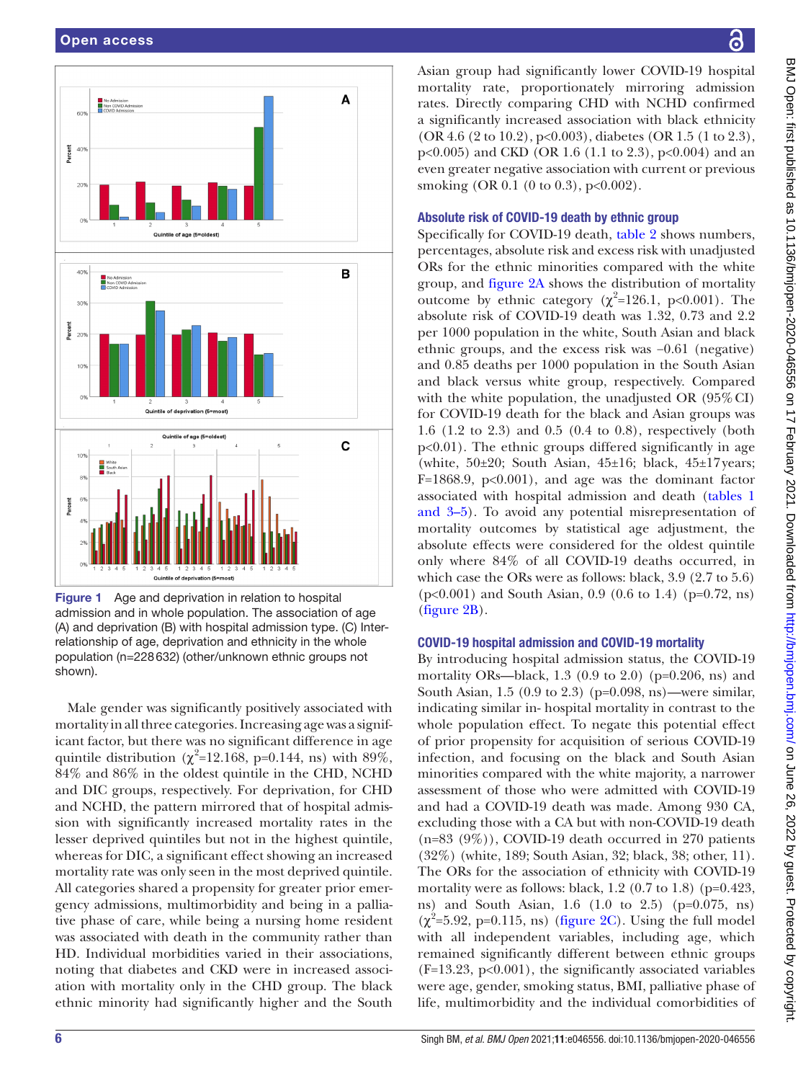

<span id="page-5-0"></span>Figure 1 Age and deprivation in relation to hospital admission and in whole population. The association of age (A) and deprivation (B) with hospital admission type. (C) Interrelationship of age, deprivation and ethnicity in the whole population (n=228632) (other/unknown ethnic groups not shown).

Male gender was significantly positively associated with mortality in all three categories. Increasing age was a significant factor, but there was no significant difference in age quintile distribution ( $\chi^2$ =12.168, p=0.144, ns) with 89%, 84% and 86% in the oldest quintile in the CHD, NCHD and DIC groups, respectively. For deprivation, for CHD and NCHD, the pattern mirrored that of hospital admission with significantly increased mortality rates in the lesser deprived quintiles but not in the highest quintile, whereas for DIC, a significant effect showing an increased mortality rate was only seen in the most deprived quintile. All categories shared a propensity for greater prior emergency admissions, multimorbidity and being in a palliative phase of care, while being a nursing home resident was associated with death in the community rather than HD. Individual morbidities varied in their associations, noting that diabetes and CKD were in increased association with mortality only in the CHD group. The black ethnic minority had significantly higher and the South

Asian group had significantly lower COVID-19 hospital mortality rate, proportionately mirroring admission rates. Directly comparing CHD with NCHD confirmed a significantly increased association with black ethnicity (OR 4.6 (2 to 10.2), p<0.003), diabetes (OR 1.5 (1 to 2.3),  $p<0.005$ ) and CKD (OR 1.6 (1.1 to 2.3),  $p<0.004$ ) and an even greater negative association with current or previous smoking (OR 0.1 (0 to 0.3),  $p<0.002$ ).

## Absolute risk of COVID-19 death by ethnic group

Specifically for COVID-19 death, [table](#page-3-0) 2 shows numbers, percentages, absolute risk and excess risk with unadjusted ORs for the ethnic minorities compared with the white group, and [figure](#page-8-0) 2A shows the distribution of mortality outcome by ethnic category ( $χ²=126.1$ , p<0.001). The absolute risk of COVID-19 death was 1.32, 0.73 and 2.2 per 1000 population in the white, South Asian and black ethnic groups, and the excess risk was −0.61 (negative) and 0.85 deaths per 1000 population in the South Asian and black versus white group, respectively. Compared with the white population, the unadjusted OR  $(95\% \text{ CI})$ for COVID-19 death for the black and Asian groups was 1.6 (1.2 to 2.3) and 0.5 (0.4 to 0.8), respectively (both p<0.01). The ethnic groups differed significantly in age (white,  $50\pm20$ ; South Asian,  $45\pm16$ ; black,  $45\pm17$  years;  $F=1868.9$ ,  $p<0.001$ , and age was the dominant factor associated with hospital admission and death [\(tables](#page-2-0) 1 [and 3–5\)](#page-2-0). To avoid any potential misrepresentation of mortality outcomes by statistical age adjustment, the absolute effects were considered for the oldest quintile only where 84% of all COVID-19 deaths occurred, in which case the ORs were as follows: black, 3.9 (2.7 to 5.6) (p<0.001) and South Asian, 0.9 (0.6 to 1.4) (p=0.72, ns) [\(figure](#page-8-0) 2B).

# COVID-19 hospital admission and COVID-19 mortality

By introducing hospital admission status, the COVID-19 mortality ORs—black, 1.3 (0.9 to 2.0) ( $p=0.206$ , ns) and South Asian, 1.5 (0.9 to 2.3) (p=0.098, ns)—were similar, indicating similar in- hospital mortality in contrast to the whole population effect. To negate this potential effect of prior propensity for acquisition of serious COVID-19 infection, and focusing on the black and South Asian minorities compared with the white majority, a narrower assessment of those who were admitted with COVID-19 and had a COVID-19 death was made. Among 930 CA, excluding those with a CA but with non-COVID-19 death  $(n=83 (9\%))$ , COVID-19 death occurred in 270 patients (32%) (white, 189; South Asian, 32; black, 38; other, 11). The ORs for the association of ethnicity with COVID-19 mortality were as follows: black, 1.2 (0.7 to 1.8) (p=0.423, ns) and South Asian, 1.6 (1.0 to 2.5) (p=0.075, ns)  $(\chi^2=5.92, p=0.115, ns)$  [\(figure](#page-8-0) 2C). Using the full model with all independent variables, including age, which remained significantly different between ethnic groups  $(F=13.23, p<0.001)$ , the significantly associated variables were age, gender, smoking status, BMI, palliative phase of life, multimorbidity and the individual comorbidities of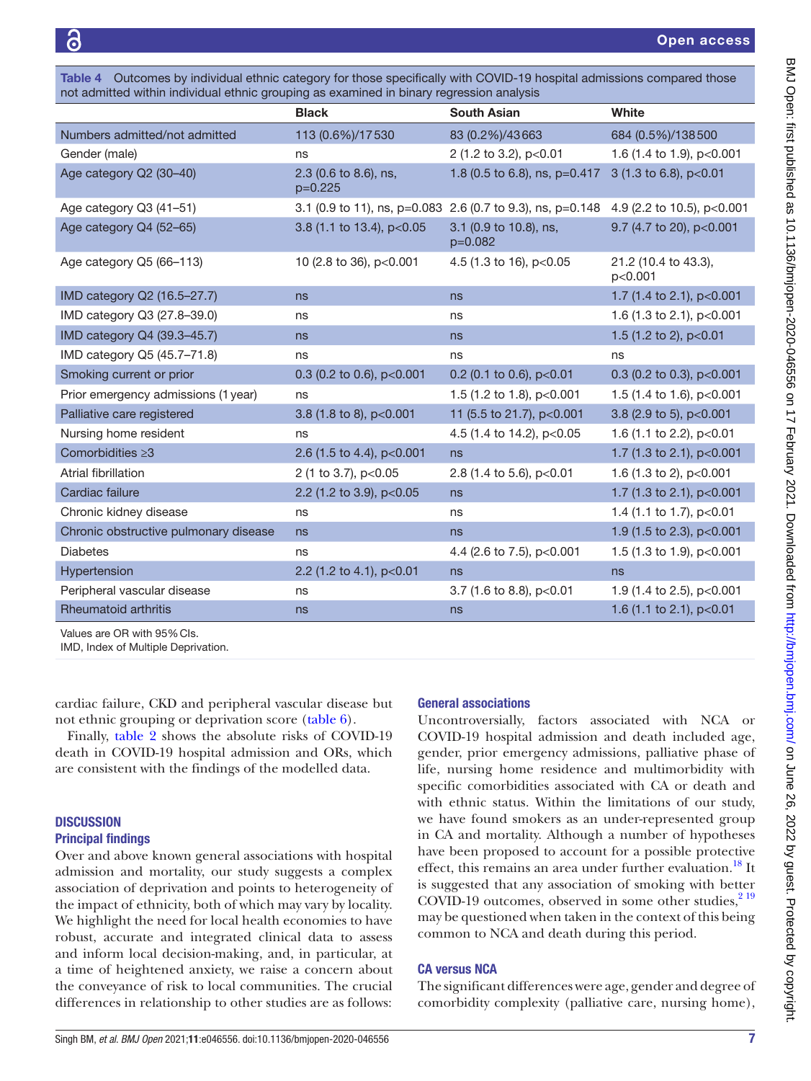<span id="page-6-0"></span>Table 4 Outcomes by individual ethnic category for those specifically with COVID-19 hospital admissions compared those not admitted within individual ethnic grouping as examined in binary regression analysis

|                                       | <b>Black</b>                       | <b>South Asian</b>                                         | White                           |
|---------------------------------------|------------------------------------|------------------------------------------------------------|---------------------------------|
| Numbers admitted/not admitted         | 113 (0.6%)/17530                   | 83 (0.2%)/43 663                                           | 684 (0.5%)/138500               |
| Gender (male)                         | ns                                 | 2 (1.2 to 3.2), p<0.01                                     | 1.6 (1.4 to 1.9), p<0.001       |
| Age category Q2 (30-40)               | 2.3 (0.6 to 8.6), ns,<br>$p=0.225$ | 1.8 (0.5 to 6.8), ns, p=0.417                              | 3 (1.3 to 6.8), p<0.01          |
| Age category Q3 (41-51)               |                                    | 3.1 (0.9 to 11), ns, p=0.083 2.6 (0.7 to 9.3), ns, p=0.148 | 4.9 (2.2 to 10.5), p<0.001      |
| Age category Q4 (52-65)               | 3.8 (1.1 to 13.4), p<0.05          | 3.1 (0.9 to 10.8), ns,<br>$p=0.082$                        | 9.7 (4.7 to 20), p<0.001        |
| Age category Q5 (66-113)              | 10 (2.8 to 36), p<0.001            | 4.5 (1.3 to 16), p<0.05                                    | 21.2 (10.4 to 43.3),<br>p<0.001 |
| IMD category Q2 (16.5-27.7)           | ns                                 | ns                                                         | 1.7 (1.4 to 2.1), p<0.001       |
| IMD category Q3 (27.8-39.0)           | ns                                 | ns                                                         | 1.6 (1.3 to 2.1), p<0.001       |
| IMD category Q4 (39.3-45.7)           | ns                                 | ns                                                         | 1.5 (1.2 to 2), p<0.01          |
| IMD category Q5 (45.7-71.8)           | ns                                 | ns                                                         | ns                              |
| Smoking current or prior              | 0.3 (0.2 to 0.6), p<0.001          | 0.2 (0.1 to 0.6), $p<0.01$                                 | 0.3 (0.2 to 0.3), $p<0.001$     |
| Prior emergency admissions (1 year)   | ns                                 | 1.5 (1.2 to 1.8), p<0.001                                  | 1.5 (1.4 to 1.6), p<0.001       |
| Palliative care registered            | 3.8 (1.8 to 8), p<0.001            | 11 (5.5 to 21.7), p<0.001                                  | 3.8 (2.9 to 5), p<0.001         |
| Nursing home resident                 | ns                                 | 4.5 (1.4 to 14.2), p<0.05                                  | 1.6 (1.1 to 2.2), p<0.01        |
| Comorbidities $\geq 3$                | 2.6 (1.5 to 4.4), $p<0.001$        | ns                                                         | 1.7 (1.3 to 2.1), p<0.001       |
| Atrial fibrillation                   | 2 (1 to 3.7), p<0.05               | 2.8 (1.4 to 5.6), p<0.01                                   | 1.6 (1.3 to 2), p<0.001         |
| Cardiac failure                       | 2.2 (1.2 to 3.9), p<0.05           | ns                                                         | 1.7 (1.3 to 2.1), p<0.001       |
| Chronic kidney disease                | ns                                 | ns                                                         | 1.4 (1.1 to 1.7), p<0.01        |
| Chronic obstructive pulmonary disease | ns                                 | ns                                                         | 1.9 (1.5 to 2.3), p<0.001       |
| <b>Diabetes</b>                       | ns                                 | 4.4 (2.6 to 7.5), p<0.001                                  | 1.5 (1.3 to 1.9), p<0.001       |
| Hypertension                          | 2.2 (1.2 to 4.1), p<0.01           | ns                                                         | ns                              |
| Peripheral vascular disease           | ns                                 | 3.7 (1.6 to 8.8), $p<0.01$                                 | 1.9 (1.4 to 2.5), p<0.001       |
| Rheumatoid arthritis                  | ns                                 | ns                                                         | 1.6 (1.1 to 2.1), p<0.01        |

Values are OR with 95%CIs.

IMD, Index of Multiple Deprivation.

cardiac failure, CKD and peripheral vascular disease but not ethnic grouping or deprivation score ([table](#page-8-1) 6).

Finally, [table](#page-3-0) 2 shows the absolute risks of COVID-19 death in COVID-19 hospital admission and ORs, which are consistent with the findings of the modelled data.

# **DISCUSSION**

#### Principal findings

Over and above known general associations with hospital admission and mortality, our study suggests a complex association of deprivation and points to heterogeneity of the impact of ethnicity, both of which may vary by locality. We highlight the need for local health economies to have robust, accurate and integrated clinical data to assess and inform local decision-making, and, in particular, at a time of heightened anxiety, we raise a concern about the conveyance of risk to local communities. The crucial differences in relationship to other studies are as follows:

## General associations

Uncontroversially, factors associated with NCA or COVID-19 hospital admission and death included age, gender, prior emergency admissions, palliative phase of life, nursing home residence and multimorbidity with specific comorbidities associated with CA or death and with ethnic status. Within the limitations of our study, we have found smokers as an under-represented group in CA and mortality. Although a number of hypotheses have been proposed to account for a possible protective effect, this remains an area under further evaluation.<sup>18</sup> It is suggested that any association of smoking with better COVID-19 outcomes, observed in some other studies, $2^{19}$ may be questioned when taken in the context of this being common to NCA and death during this period.

## CA versus NCA

The significant differences were age, gender and degree of comorbidity complexity (palliative care, nursing home),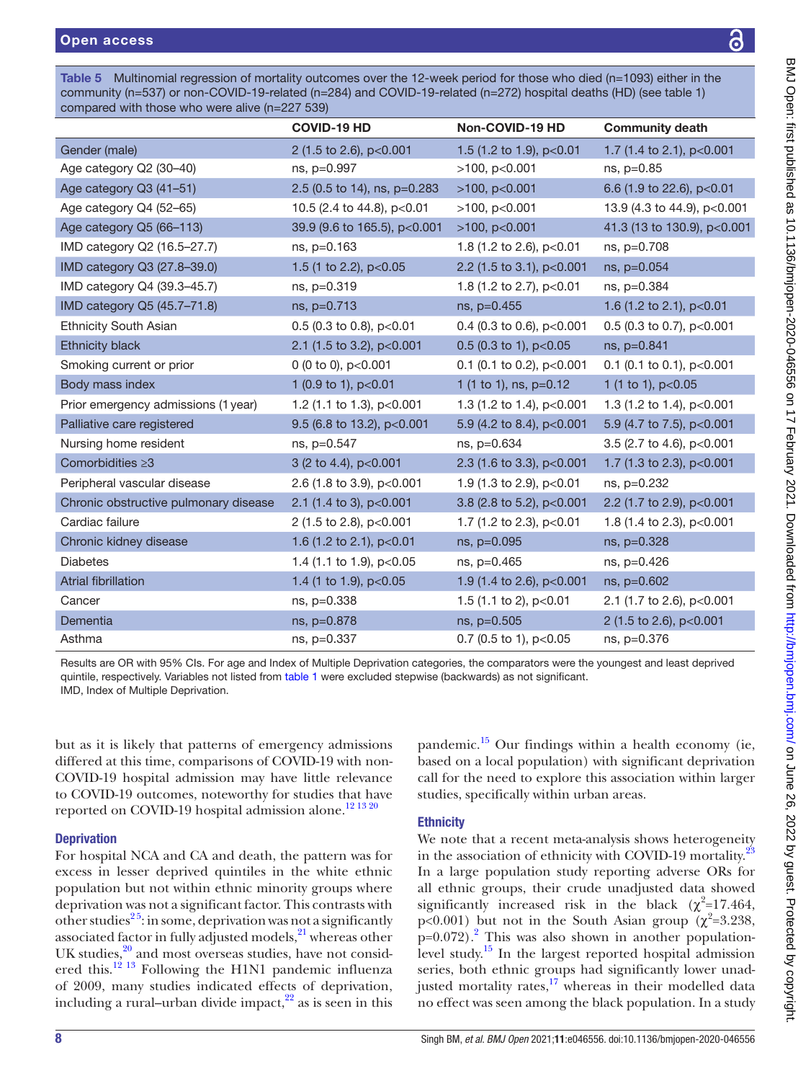<span id="page-7-0"></span>Table 5 Multinomial regression of mortality outcomes over the 12-week period for those who died (n=1093) either in the community (n=537) or non-COVID-19-related (n=284) and COVID-19-related (n=272) hospital deaths (HD) (see [table 1\)](#page-2-0) compared with those who were alive (n=227 539)

|                                       | <b>COVID-19 HD</b>           | Non-COVID-19 HD             | <b>Community death</b>      |
|---------------------------------------|------------------------------|-----------------------------|-----------------------------|
| Gender (male)                         | 2 (1.5 to 2.6), p<0.001      | 1.5 (1.2 to 1.9), p<0.01    | 1.7 (1.4 to 2.1), p<0.001   |
| Age category Q2 (30-40)               | ns, p=0.997                  | $>100$ , p<0.001            | ns, p=0.85                  |
| Age category Q3 (41-51)               | 2.5 (0.5 to 14), ns, p=0.283 | $>100$ , p $< 0.001$        | 6.6 (1.9 to 22.6), p<0.01   |
| Age category Q4 (52-65)               | 10.5 (2.4 to 44.8), p<0.01   | $>100$ , $p<0.001$          | 13.9 (4.3 to 44.9), p<0.001 |
| Age category Q5 (66-113)              | 39.9 (9.6 to 165.5), p<0.001 | $>100$ , p<0.001            | 41.3 (13 to 130.9), p<0.001 |
| IMD category Q2 (16.5-27.7)           | ns, p=0.163                  | 1.8 (1.2 to 2.6), p<0.01    | ns, p=0.708                 |
| IMD category Q3 (27.8-39.0)           | 1.5 (1 to 2.2), p<0.05       | 2.2 (1.5 to 3.1), p<0.001   | ns, p=0.054                 |
| IMD category Q4 (39.3-45.7)           | ns, p=0.319                  | 1.8 (1.2 to 2.7), p<0.01    | ns, p=0.384                 |
| IMD category Q5 (45.7-71.8)           | ns, p=0.713                  | ns, p=0.455                 | 1.6 (1.2 to 2.1), p<0.01    |
| <b>Ethnicity South Asian</b>          | 0.5 (0.3 to 0.8), p<0.01     | 0.4 (0.3 to 0.6), $p<0.001$ | 0.5 (0.3 to 0.7), $p<0.001$ |
| <b>Ethnicity black</b>                | 2.1 (1.5 to 3.2), p<0.001    | 0.5 (0.3 to 1), $p<0.05$    | ns, p=0.841                 |
| Smoking current or prior              | 0 (0 to 0), p<0.001          | 0.1 (0.1 to 0.2), $p<0.001$ | 0.1 (0.1 to 0.1), $p<0.001$ |
| Body mass index                       | 1 (0.9 to 1), p<0.01         | 1 (1 to 1), ns, p=0.12      | 1 (1 to 1), p<0.05          |
| Prior emergency admissions (1 year)   | 1.2 (1.1 to 1.3), p<0.001    | 1.3 (1.2 to 1.4), p<0.001   | 1.3 (1.2 to 1.4), p<0.001   |
| Palliative care registered            | 9.5 (6.8 to 13.2), p<0.001   | 5.9 (4.2 to 8.4), p<0.001   | 5.9 (4.7 to 7.5), p<0.001   |
| Nursing home resident                 | ns, p=0.547                  | $ns, p=0.634$               | 3.5 (2.7 to 4.6), p<0.001   |
| Comorbidities $\geq 3$                | 3 (2 to 4.4), p<0.001        | 2.3 (1.6 to 3.3), p<0.001   | 1.7 (1.3 to 2.3), p<0.001   |
| Peripheral vascular disease           | 2.6 (1.8 to 3.9), p<0.001    | 1.9 (1.3 to 2.9), p<0.01    | ns, p=0.232                 |
| Chronic obstructive pulmonary disease | 2.1 (1.4 to 3), p<0.001      | 3.8 (2.8 to 5.2), p<0.001   | 2.2 (1.7 to 2.9), p<0.001   |
| Cardiac failure                       | 2 (1.5 to 2.8), p<0.001      | 1.7 (1.2 to 2.3), p<0.01    | 1.8 (1.4 to 2.3), p<0.001   |
| Chronic kidney disease                | 1.6 (1.2 to 2.1), p<0.01     | ns, p=0.095                 | ns, p=0.328                 |
| Diabetes                              | 1.4 (1.1 to 1.9), p<0.05     | ns, p=0.465                 | ns, p=0.426                 |
| Atrial fibrillation                   | 1.4 (1 to 1.9), p<0.05       | 1.9 (1.4 to 2.6), p<0.001   | ns, p=0.602                 |
| Cancer                                | ns, p=0.338                  | 1.5 (1.1 to 2), p<0.01      | 2.1 (1.7 to 2.6), p<0.001   |
| Dementia                              | ns, p=0.878                  | ns, p=0.505                 | 2 (1.5 to 2.6), p<0.001     |
| Asthma                                | ns, p=0.337                  | 0.7 (0.5 to 1), $p<0.05$    | ns, p=0.376                 |

Results are OR with 95% CIs. For age and Index of Multiple Deprivation categories, the comparators were the youngest and least deprived quintile, respectively. Variables not listed from [table 1](#page-2-0) were excluded stepwise (backwards) as not significant. IMD, Index of Multiple Deprivation.

but as it is likely that patterns of emergency admissions differed at this time, comparisons of COVID-19 with non-COVID-19 hospital admission may have little relevance to COVID-19 outcomes, noteworthy for studies that have reported on COVID-19 hospital admission alone.<sup>[12 13 20](#page-10-7)</sup>

# **Deprivation**

For hospital NCA and CA and death, the pattern was for excess in lesser deprived quintiles in the white ethnic population but not within ethnic minority groups where deprivation was not a significant factor. This contrasts with other studies<sup>25</sup>: in some, deprivation was not a significantly associated factor in fully adjusted models, $^{21}$  whereas other UK studies, $2^0$  and most overseas studies, have not considered this.<sup>12</sup><sup>13</sup> Following the H1N1 pandemic influenza of 2009, many studies indicated effects of deprivation, including a rural–urban divide impact, $^{22}$  as is seen in this

pandemic.<sup>15</sup> Our findings within a health economy (ie, based on a local population) with significant deprivation call for the need to explore this association within larger studies, specifically within urban areas.

# **Ethnicity**

We note that a recent meta-analysis shows heterogeneity in the association of ethnicity with COVID-19 mortality. $^{23}$  $^{23}$  $^{23}$ In a large population study reporting adverse ORs for all ethnic groups, their crude unadjusted data showed significantly increased risk in the black  $(\chi^2=17.464,$ p<0.001) but not in the South Asian group ( $\chi^2$ =3.238,  $p=0.072$  $p=0.072$ ).<sup>2</sup> This was also shown in another populationlevel study.[15](#page-10-5) In the largest reported hospital admission series, both ethnic groups had significantly lower unadjusted mortality rates,<sup>17</sup> whereas in their modelled data no effect was seen among the black population. In a study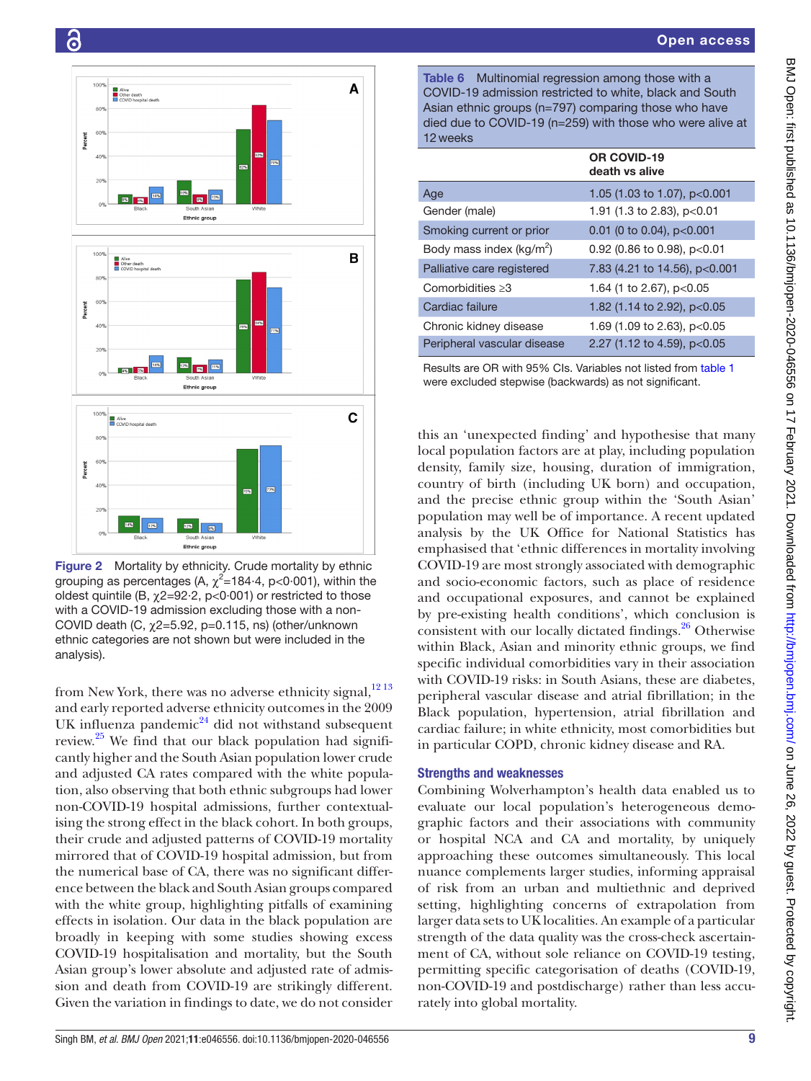

<span id="page-8-0"></span>Figure 2 Mortality by ethnicity. Crude mortality by ethnic grouping as percentages (A,  $\chi^2$ =184 $\cdot$ 4, p<0 $\cdot$ 001), within the oldest quintile (B,  $\chi$ 2=92·2, p<0·001) or restricted to those with a COVID-19 admission excluding those with a non-COVID death (C,  $\chi$ 2=5.92, p=0.115, ns) (other/unknown ethnic categories are not shown but were included in the analysis).

from New York, there was no adverse ethnicity signal,<sup>[12 13](#page-10-7)</sup> and early reported adverse ethnicity outcomes in the 2009 UK influenza pandemic<sup>[24](#page-10-13)</sup> did not withstand subsequent review.[25](#page-10-14) We find that our black population had significantly higher and the South Asian population lower crude and adjusted CA rates compared with the white population, also observing that both ethnic subgroups had lower non-COVID-19 hospital admissions, further contextualising the strong effect in the black cohort. In both groups, their crude and adjusted patterns of COVID-19 mortality mirrored that of COVID-19 hospital admission, but from the numerical base of CA, there was no significant difference between the black and South Asian groups compared with the white group, highlighting pitfalls of examining effects in isolation. Our data in the black population are broadly in keeping with some studies showing excess COVID-19 hospitalisation and mortality, but the South Asian group's lower absolute and adjusted rate of admission and death from COVID-19 are strikingly different. Given the variation in findings to date, we do not consider

<span id="page-8-1"></span>Table 6 Multinomial regression among those with a COVID-19 admission restricted to white, black and South Asian ethnic groups (n=797) comparing those who have died due to COVID-19 (n=259) with those who were alive at 12weeks

|                                      | OR COVID-19<br>death vs alive |
|--------------------------------------|-------------------------------|
| Age                                  | 1.05 (1.03 to 1.07), p<0.001  |
| Gender (male)                        | 1.91 (1.3 to 2.83), p<0.01    |
| Smoking current or prior             | 0.01 (0 to 0.04), $p<0.001$   |
| Body mass index (kg/m <sup>2</sup> ) | 0.92 (0.86 to 0.98), $p<0.01$ |
| Palliative care registered           | 7.83 (4.21 to 14.56), p<0.001 |
| Comorbidities $\geq 3$               | 1.64 (1 to 2.67), $p<0.05$    |
| Cardiac failure                      | 1.82 (1.14 to 2.92), p<0.05   |
| Chronic kidney disease               | 1.69 (1.09 to 2.63), p<0.05   |
| Peripheral vascular disease          | 2.27 (1.12 to 4.59), p<0.05   |
|                                      |                               |

Results are OR with 95% CIs. Variables not listed from [table 1](#page-2-0) were excluded stepwise (backwards) as not significant.

this an 'unexpected finding' and hypothesise that many local population factors are at play, including population density, family size, housing, duration of immigration, country of birth (including UK born) and occupation, and the precise ethnic group within the 'South Asian' population may well be of importance. A recent updated analysis by the UK Office for National Statistics has emphasised that 'ethnic differences in mortality involving COVID-19 are most strongly associated with demographic and socio-economic factors, such as place of residence and occupational exposures, and cannot be explained by pre-existing health conditions', which conclusion is consistent with our locally dictated findings.<sup>26</sup> Otherwise within Black, Asian and minority ethnic groups, we find specific individual comorbidities vary in their association with COVID-19 risks: in South Asians, these are diabetes, peripheral vascular disease and atrial fibrillation; in the Black population, hypertension, atrial fibrillation and cardiac failure; in white ethnicity, most comorbidities but in particular COPD, chronic kidney disease and RA.

# Strengths and weaknesses

Combining Wolverhampton's health data enabled us to evaluate our local population's heterogeneous demographic factors and their associations with community or hospital NCA and CA and mortality, by uniquely approaching these outcomes simultaneously. This local nuance complements larger studies, informing appraisal of risk from an urban and multiethnic and deprived setting, highlighting concerns of extrapolation from larger data sets to UK localities. An example of a particular strength of the data quality was the cross-check ascertainment of CA, without sole reliance on COVID-19 testing, permitting specific categorisation of deaths (COVID-19, non-COVID-19 and postdischarge) rather than less accurately into global mortality.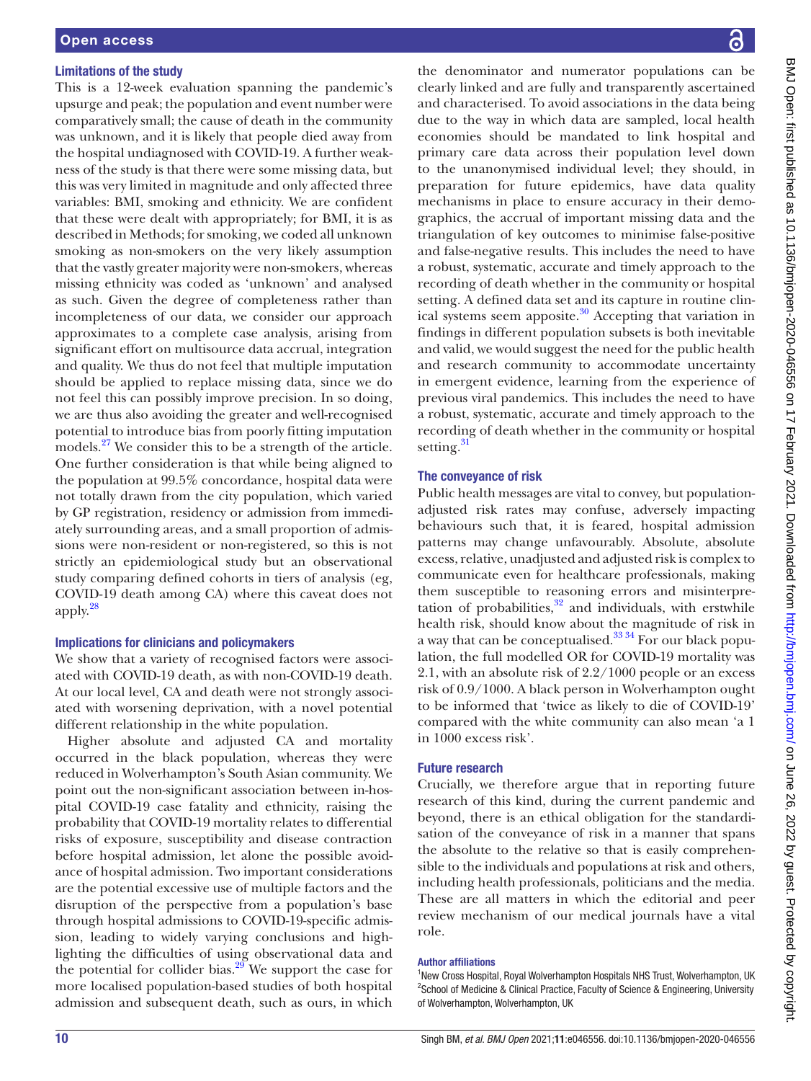## Limitations of the study

This is a 12-week evaluation spanning the pandemic's upsurge and peak; the population and event number were comparatively small; the cause of death in the community was unknown, and it is likely that people died away from the hospital undiagnosed with COVID-19. A further weakness of the study is that there were some missing data, but this was very limited in magnitude and only affected three variables: BMI, smoking and ethnicity. We are confident that these were dealt with appropriately; for BMI, it is as described in Methods; for smoking, we coded all unknown smoking as non-smokers on the very likely assumption that the vastly greater majority were non-smokers, whereas missing ethnicity was coded as 'unknown' and analysed as such. Given the degree of completeness rather than incompleteness of our data, we consider our approach approximates to a complete case analysis, arising from significant effort on multisource data accrual, integration and quality. We thus do not feel that multiple imputation should be applied to replace missing data, since we do not feel this can possibly improve precision. In so doing, we are thus also avoiding the greater and well-recognised potential to introduce bias from poorly fitting imputation models.<sup>27</sup> We consider this to be a strength of the article. One further consideration is that while being aligned to the population at 99.5% concordance, hospital data were not totally drawn from the city population, which varied by GP registration, residency or admission from immediately surrounding areas, and a small proportion of admissions were non-resident or non-registered, so this is not strictly an epidemiological study but an observational study comparing defined cohorts in tiers of analysis (eg, COVID-19 death among CA) where this caveat does not apply.[28](#page-10-17)

#### Implications for clinicians and policymakers

We show that a variety of recognised factors were associated with COVID-19 death, as with non-COVID-19 death. At our local level, CA and death were not strongly associated with worsening deprivation, with a novel potential different relationship in the white population.

Higher absolute and adjusted CA and mortality occurred in the black population, whereas they were reduced in Wolverhampton's South Asian community. We point out the non-significant association between in-hospital COVID-19 case fatality and ethnicity, raising the probability that COVID-19 mortality relates to differential risks of exposure, susceptibility and disease contraction before hospital admission, let alone the possible avoidance of hospital admission. Two important considerations are the potential excessive use of multiple factors and the disruption of the perspective from a population's base through hospital admissions to COVID-19-specific admission, leading to widely varying conclusions and highlighting the difficulties of using observational data and the potential for collider bias. $29$  We support the case for more localised population-based studies of both hospital admission and subsequent death, such as ours, in which

the denominator and numerator populations can be clearly linked and are fully and transparently ascertained and characterised. To avoid associations in the data being due to the way in which data are sampled, local health economies should be mandated to link hospital and primary care data across their population level down to the unanonymised individual level; they should, in preparation for future epidemics, have data quality mechanisms in place to ensure accuracy in their demographics, the accrual of important missing data and the triangulation of key outcomes to minimise false-positive and false-negative results. This includes the need to have a robust, systematic, accurate and timely approach to the recording of death whether in the community or hospital setting. A defined data set and its capture in routine clinical systems seem apposite.<sup>30</sup> Accepting that variation in findings in different population subsets is both inevitable and valid, we would suggest the need for the public health and research community to accommodate uncertainty in emergent evidence, learning from the experience of previous viral pandemics. This includes the need to have a robust, systematic, accurate and timely approach to the recording of death whether in the community or hospital setting.<sup>31</sup>

## The conveyance of risk

Public health messages are vital to convey, but populationadjusted risk rates may confuse, adversely impacting behaviours such that, it is feared, hospital admission patterns may change unfavourably. Absolute, absolute excess, relative, unadjusted and adjusted risk is complex to communicate even for healthcare professionals, making them susceptible to reasoning errors and misinterpretation of probabilities, $32$  and individuals, with erstwhile health risk, should know about the magnitude of risk in a way that can be conceptualised.<sup>33</sup> <sup>34</sup> For our black population, the full modelled OR for COVID-19 mortality was 2.1, with an absolute risk of 2.2/1000 people or an excess risk of 0.9/1000. A black person in Wolverhampton ought to be informed that 'twice as likely to die of COVID-19' compared with the white community can also mean 'a 1 in 1000 excess risk'.

## Future research

Crucially, we therefore argue that in reporting future research of this kind, during the current pandemic and beyond, there is an ethical obligation for the standardisation of the conveyance of risk in a manner that spans the absolute to the relative so that is easily comprehensible to the individuals and populations at risk and others, including health professionals, politicians and the media. These are all matters in which the editorial and peer review mechanism of our medical journals have a vital role.

#### Author affiliations

<sup>1</sup>New Cross Hospital, Royal Wolverhampton Hospitals NHS Trust, Wolverhampton, UK <sup>2</sup>School of Medicine & Clinical Practice, Faculty of Science & Engineering, University of Wolverhampton, Wolverhampton, UK